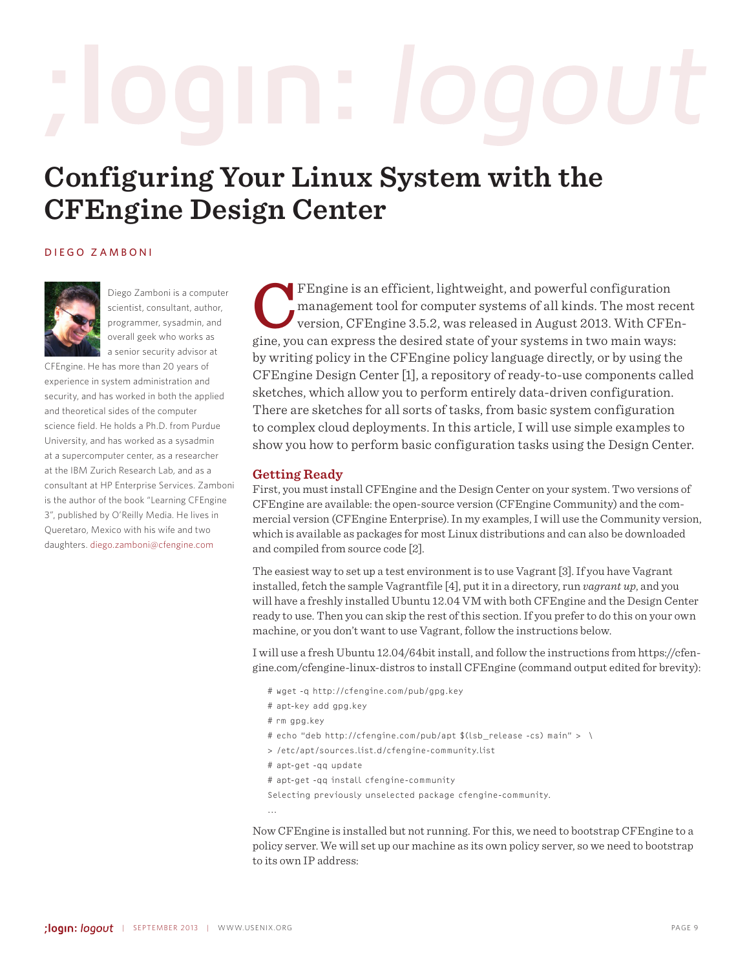# **Configuring Your Linux System with the CFEngine Design Center**

## Diego Zamboni



Diego Zamboni is a computer scientist, consultant, author, programmer, sysadmin, and overall geek who works as a senior security advisor at

CFEngine. He has more than 20 years of experience in system administration and security, and has worked in both the applied and theoretical sides of the computer science field. He holds a Ph.D. from Purdue University, and has worked as a sysadmin at a supercomputer center, as a researcher at the IBM Zurich Research Lab, and as a consultant at HP Enterprise Services. Zamboni is the author of the book "Learning CFEngine 3", published by O'Reilly Media. He lives in Queretaro, Mexico with his wife and two daughters. <diego.zamboni@cfengine.com>

FEngine is an efficient, lightweight, and powerful configuration<br>management tool for computer systems of all kinds. The most rec<br>version, CFEngine 3.5.2, was released in August 2013. With CFE<br>gine you can express the desir management tool for computer systems of all kinds. The most recent version, CFEngine 3.5.2, was released in August 2013. With CFEngine, you can express the desired state of your systems in two main ways: by writing policy in the CFEngine policy language directly, or by using the CFEngine Design Center [1], a repository of ready-to-use components called sketches, which allow you to perform entirely data-driven configuration. There are sketches for all sorts of tasks, from basic system configuration to complex cloud deployments. In this article, I will use simple examples to show you how to perform basic configuration tasks using the Design Center.

# **Getting Ready**

First, you must install CFEngine and the Design Center on your system. Two versions of CFEngine are available: the open-source version (CFEngine Community) and the commercial version (CFEngine Enterprise). In my examples, I will use the Community version, which is available as packages for most Linux distributions and can also be downloaded and compiled from source code [2].

The easiest way to set up a test environment is to use Vagrant [3]. If you have Vagrant installed, fetch the sample Vagrantfile [4], put it in a directory, run *vagrant up*, and you will have a freshly installed Ubuntu 12.04 VM with both CFEngine and the Design Center ready to use. Then you can skip the rest of this section. If you prefer to do this on your own machine, or you don't want to use Vagrant, follow the instructions below.

I will use a fresh Ubuntu 12.04/64bit install, and follow the instructions from https://cfengine.com/cfengine-linux-distros to install CFEngine (command output edited for brevity):

- # wget -q http://cfengine.com/pub/gpg.key
- # apt-key add gpg.key
- # rm gpg.key
- # echo "deb http://cfengine.com/pub/apt \$(lsb\_release -cs) main" > \
- > /etc/apt/sources.list.d/cfengine-community.list
- # apt-get -qq update
- # apt-get -qq install cfengine-community

Selecting previously unselected package cfengine-community.

...

Now CFEngine is installed but not running. For this, we need to bootstrap CFEngine to a policy server. We will set up our machine as its own policy server, so we need to bootstrap to its own IP address: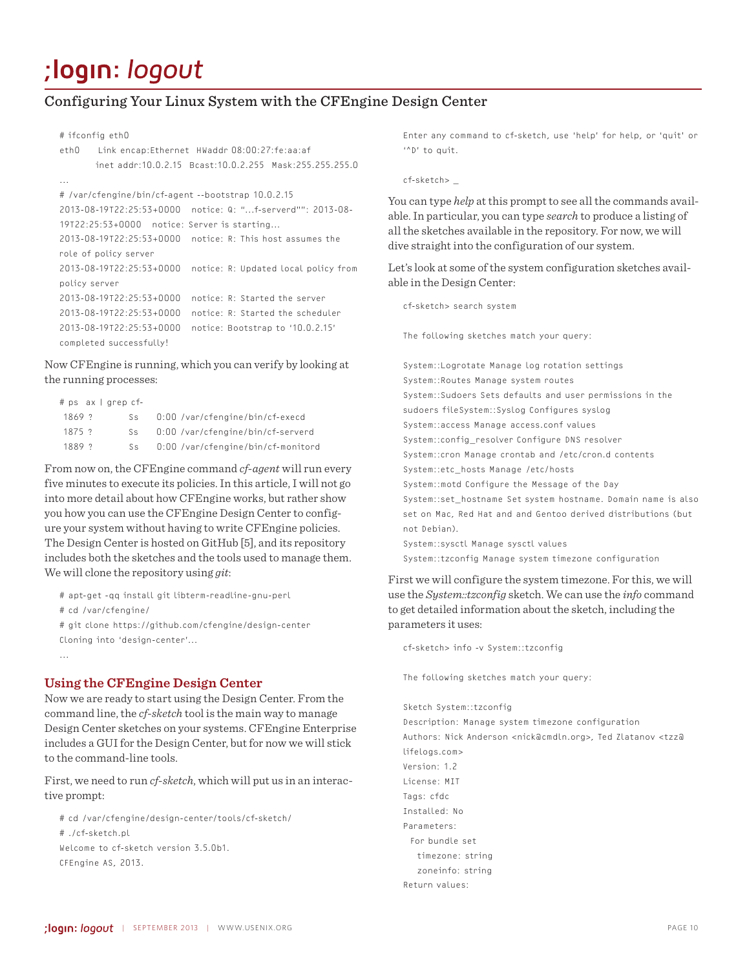# Configuring Your Linux System with the CFEngine Design Center

### # ifconfig eth0

```
eth0 Link encap:Ethernet HWaddr 08:00:27:fe:aa:af
        inet addr:10.0.2.15 Bcast:10.0.2.255 Mask:255.255.255.0
...
# /var/cfengine/bin/cf-agent --bootstrap 10.0.2.15
2013-08-19T22:25:53+0000 notice: Q: "...f-serverd"": 2013-08-
19T22:25:53+0000 notice: Server is starting...
2013-08-19T22:25:53+0000 notice: R: This host assumes the 
role of policy server
2013-08-19T22:25:53+0000 notice: R: Updated local policy from 
policy server
2013-08-19T22:25:53+0000 notice: R: Started the server
2013-08-19T22:25:53+0000 notice: R: Started the scheduler
2013-08-19T22:25:53+0000 notice: Bootstrap to '10.0.2.15' 
completed successfully!
```
Now CFEngine is running, which you can verify by looking at the running processes:

| $#$ ps $ax$   grep cf- |     |                                    |
|------------------------|-----|------------------------------------|
| $1869$ ?               | Ss. | 0:00 /var/cfengine/bin/cf-execd    |
| $1875$ ?               | Ss. | 0:00 /var/cfengine/bin/cf-serverd  |
| $1889$ ?               | S.s | 0:00 /var/cfengine/bin/cf-monitord |

From now on, the CFEngine command *cf-agent* will run every five minutes to execute its policies. In this article, I will not go into more detail about how CFEngine works, but rather show you how you can use the CFEngine Design Center to configure your system without having to write CFEngine policies. The Design Center is hosted on GitHub [5], and its repository includes both the sketches and the tools used to manage them. We will clone the repository using *git*:

```
# apt-get -qq install git libterm-readline-gnu-perl
# cd /var/cfengine/
# git clone https://github.com/cfengine/design-center
Cloning into 'design-center'...
...
```
## **Using the CFEngine Design Center**

Now we are ready to start using the Design Center. From the command line, the *cf-sketch* tool is the main way to manage Design Center sketches on your systems. CFEngine Enterprise includes a GUI for the Design Center, but for now we will stick to the command-line tools.

First, we need to run *cf-sketch*, which will put us in an interactive prompt:

# cd /var/cfengine/design-center/tools/cf-sketch/ # ./cf-sketch.pl Welcome to cf-sketch version 3.5.0b1. CFEngine AS, 2013.

Enter any command to cf-sketch, use 'help' for help, or 'quit' or '^D' to quit.

#### cf-sketch> \_

You can type *help* at this prompt to see all the commands available. In particular, you can type *search* to produce a listing of all the sketches available in the repository. For now, we will dive straight into the configuration of our system.

Let's look at some of the system configuration sketches available in the Design Center:

cf-sketch> search system

The following sketches match your query:

System::Logrotate Manage log rotation settings System::Routes Manage system routes System::Sudoers Sets defaults and user permissions in the sudoers fileSystem::Syslog Configures syslog System::access Manage access.conf values System::config\_resolver Configure DNS resolver System::cron Manage crontab and /etc/cron.d contents System::etc\_hosts Manage /etc/hosts System::motd Configure the Message of the Day System::set hostname Set system hostname. Domain name is also set on Mac, Red Hat and and Gentoo derived distributions (but not Debian). System::sysctl Manage sysctl values System::tzconfig Manage system timezone configuration

First we will configure the system timezone. For this, we will use the *System::tzconfig* sketch. We can use the *info* command to get detailed information about the sketch, including the parameters it uses:

cf-sketch> info -v System::tzconfig

The following sketches match your query:

Sketch System::tzconfig

Description: Manage system timezone configuration Authors: Nick Anderson <nick@cmdln.org>, Ted Zlatanov <tzz@ lifelogs.com> Version: 1.2 License: MIT Tags: cfdc Installed: No Parameters: For bundle set timezone: string zoneinfo: string Return values: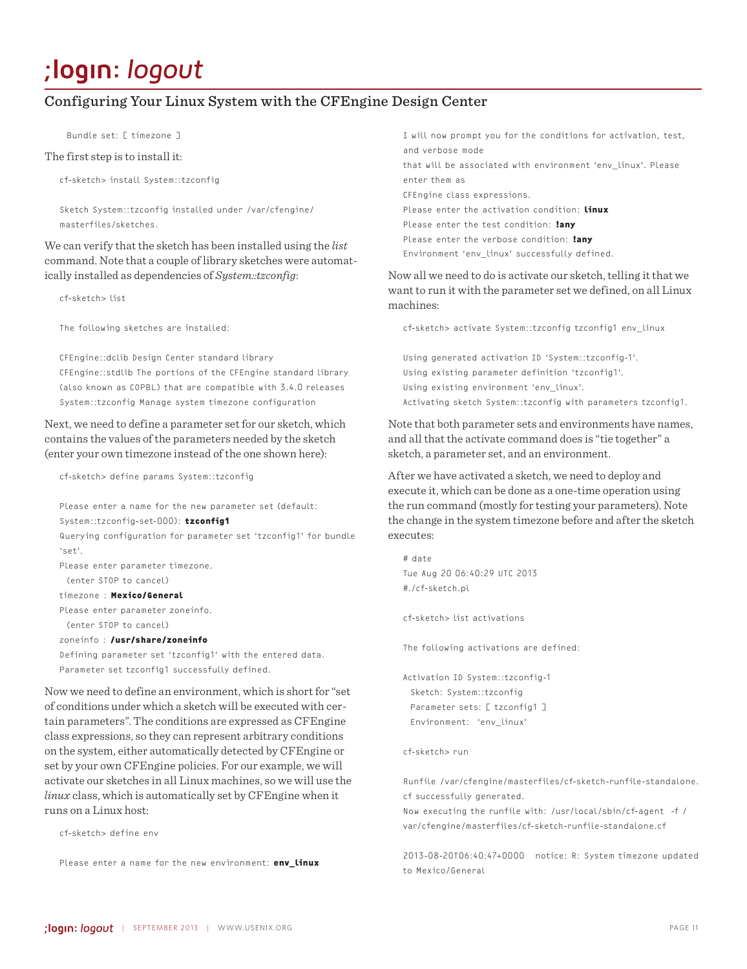# Configuring Your Linux System with the CFEngine Design Center

Bundle set: [ timezone ]

#### The first step is to install it:

cf-sketch> install System::tzconfig

Sketch System::tzconfig installed under /var/cfengine/ masterfiles/sketches.

We can verify that the sketch has been installed using the *list* command. Note that a couple of library sketches were automatically installed as dependencies of *System::tzconfig*:

cf-sketch> list

The following sketches are installed:

CFEngine::dclib Design Center standard library CFEngine::stdlib The portions of the CFEngine standard library (also known as COPBL) that are compatible with 3.4.0 releases System::tzconfig Manage system timezone configuration

Next, we need to define a parameter set for our sketch, which contains the values of the parameters needed by the sketch (enter your own timezone instead of the one shown here):

cf-sketch> define params System::tzconfig

Please enter a name for the new parameter set (default: System::tzconfig-set-000): **tzconfig1**

Querying configuration for parameter set 'tzconfig1' for bundle  $e^+e^-$ 

Please enter parameter timezone.

(enter STOP to cancel)

timezone : **Mexico/General**

Please enter parameter zoneinfo. (enter STOP to cancel)

zoneinfo : **/usr/share/zoneinfo**

Defining parameter set 'tzconfig1' with the entered data. Parameter set tzconfig1 successfully defined.

Now we need to define an environment, which is short for "set of conditions under which a sketch will be executed with certain parameters". The conditions are expressed as CFEngine class expressions, so they can represent arbitrary conditions on the system, either automatically detected by CFEngine or set by your own CFEngine policies. For our example, we will activate our sketches in all Linux machines, so we will use the *linux* class, which is automatically set by CFEngine when it runs on a Linux host:

cf-sketch> define env

Please enter a name for the new environment: **env\_linux**

I will now prompt you for the conditions for activation, test, and verbose mode that will be associated with environment 'env\_linux'. Please enter them as CFEngine class expressions. Please enter the activation condition: **linux** Please enter the test condition: **!any** Please enter the verbose condition: **!any** Environment 'env\_linux' successfully defined.

Now all we need to do is activate our sketch, telling it that we want to run it with the parameter set we defined, on all Linux machines:

cf-sketch> activate System::tzconfig tzconfig1 env\_linux

Using generated activation ID 'System::tzconfig-1'. Using existing parameter definition 'tzconfig1'. Using existing environment 'env\_linux'. Activating sketch System::tzconfig with parameters tzconfig1.

Note that both parameter sets and environments have names, and all that the activate command does is "tie together" a sketch, a parameter set, and an environment.

After we have activated a sketch, we need to deploy and execute it, which can be done as a one-time operation using the run command (mostly for testing your parameters). Note the change in the system timezone before and after the sketch executes:

# date Tue Aug 20 06:40:29 UTC 2013 #./cf-sketch.pl

cf-sketch> list activations

The following activations are defined:

Activation ID System::tzconfig-1 Sketch: System::tzconfig Parameter sets: [ tzconfig1 ] Environment: 'env\_linux'

cf-sketch> run

Runfile /var/cfengine/masterfiles/cf-sketch-runfile-standalone. cf successfully generated.

Now executing the runfile with: /usr/local/sbin/cf-agent -f / var/cfengine/masterfiles/cf-sketch-runfile-standalone.cf

2013-08-20T06:40:47+0000 notice: R: System timezone updated to Mexico/General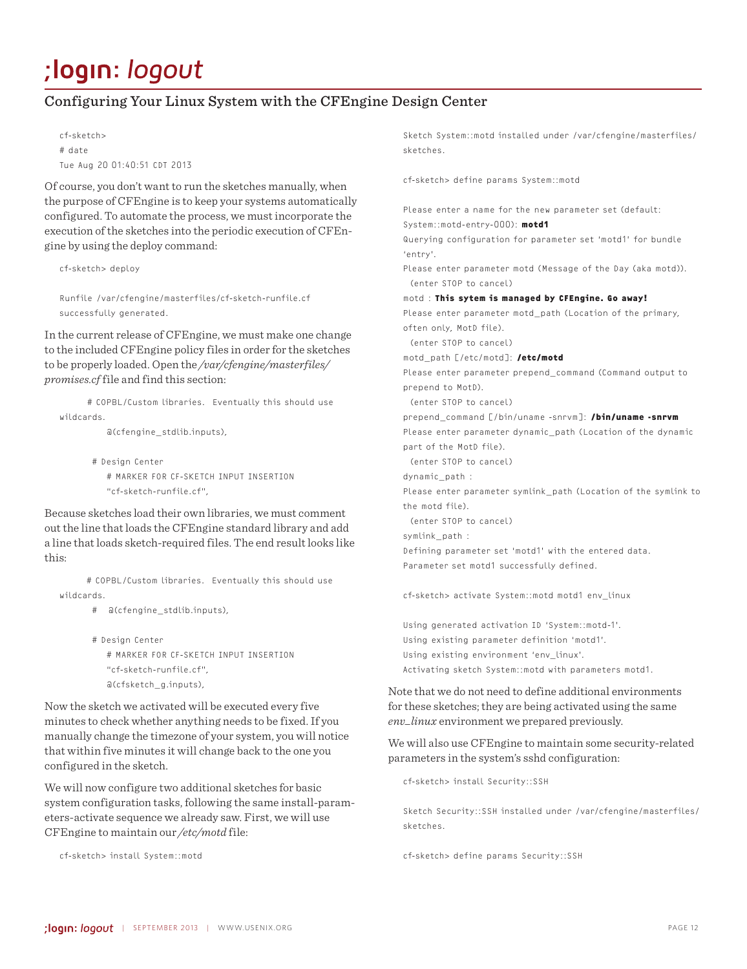# Configuring Your Linux System with the CFEngine Design Center

cf-sketch> # date Tue Aug 20 01:40:51 CDT 2013

Of course, you don't want to run the sketches manually, when the purpose of CFEngine is to keep your systems automatically configured. To automate the process, we must incorporate the execution of the sketches into the periodic execution of CFEngine by using the deploy command:

cf-sketch> deploy

Runfile /var/cfengine/masterfiles/cf-sketch-runfile.cf successfully generated.

In the current release of CFEngine, we must make one change to the included CFEngine policy files in order for the sketches to be properly loaded. Open the */var/cfengine/masterfiles/ promises.cf* file and find this section:

 # COPBL/Custom libraries. Eventually this should use wildcards.

@(cfengine\_stdlib.inputs),

 # Design Center # MARKER FOR CF-SKETCH INPUT INSERTION "cf-sketch-runfile.cf",

Because sketches load their own libraries, we must comment out the line that loads the CFEngine standard library and add a line that loads sketch-required files. The end result looks like this:

 # COPBL/Custom libraries. Eventually this should use wildcards.

- # @(cfengine\_stdlib.inputs),
- # Design Center # MARKER FOR CF-SKETCH INPUT INSERTION "cf-sketch-runfile.cf", @(cfsketch\_g.inputs),

Now the sketch we activated will be executed every five minutes to check whether anything needs to be fixed. If you manually change the timezone of your system, you will notice that within five minutes it will change back to the one you configured in the sketch.

We will now configure two additional sketches for basic system configuration tasks, following the same install-parameters-activate sequence we already saw. First, we will use CFEngine to maintain our */etc/motd* file:

cf-sketch> install System::motd

Sketch System::motd installed under /var/cfengine/masterfiles/ sketches.

cf-sketch> define params System::motd

Please enter a name for the new parameter set (default:

System::motd-entry-000): **motd1**

Querying configuration for parameter set 'motd1' for bundle 'entry'.

Please enter parameter motd (Message of the Day (aka motd)). (enter STOP to cancel)

motd : **This sytem is managed by CFEngine. Go away!**

Please enter parameter motd path (Location of the primary, often only, MotD file).

(enter STOP to cancel)

motd\_path [/etc/motd]: **/etc/motd**

Please enter parameter prepend\_command (Command output to prepend to MotD).

(enter STOP to cancel)

prepend\_command [/bin/uname -snrvm]: **/bin/uname -snrvm** Please enter parameter dynamic\_path (Location of the dynamic part of the MotD file).

(enter STOP to cancel)

dynamic\_path :

Please enter parameter symlink\_path (Location of the symlink to the motd file).

(enter STOP to cancel)

symlink\_path :

Defining parameter set 'motd1' with the entered data. Parameter set motd1 successfully defined.

cf-sketch> activate System::motd motd1 env\_linux

Using generated activation ID 'System::motd-1'. Using existing parameter definition 'motd1'. Using existing environment 'env\_linux'. Activating sketch System::motd with parameters motd1.

Note that we do not need to define additional environments for these sketches; they are being activated using the same *env\_linux* environment we prepared previously.

We will also use CFEngine to maintain some security-related parameters in the system's sshd configuration:

cf-sketch> install Security::SSH

Sketch Security::SSH installed under /var/cfengine/masterfiles/ sketches.

cf-sketch> define params Security::SSH